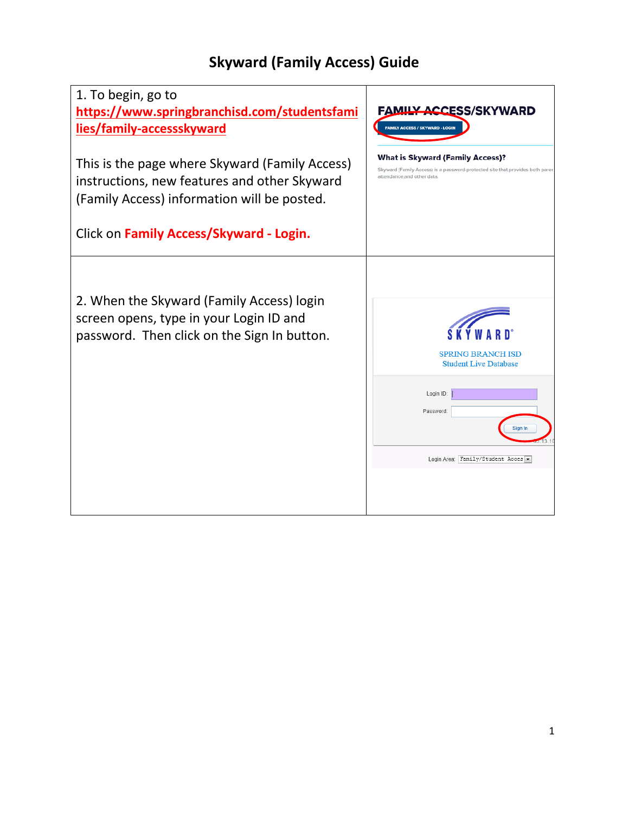## **Skyward (Family Access) Guide**

| 1. To begin, go to<br>https://www.springbranchisd.com/studentsfami<br>lies/family-accessskyward                                               | <b>FAMILY ACCESS/SKYWARD</b><br><b>FAMILY ACCESS / SKYWARD - LOGIN</b>                                                                                  |
|-----------------------------------------------------------------------------------------------------------------------------------------------|---------------------------------------------------------------------------------------------------------------------------------------------------------|
| This is the page where Skyward (Family Access)<br>instructions, new features and other Skyward<br>(Family Access) information will be posted. | <b>What is Skyward (Family Access)?</b><br>Skyward (Family Access) is a password-protected site that provides both parer<br>attendance, and other data. |
| Click on Family Access/Skyward - Login.                                                                                                       |                                                                                                                                                         |
| 2. When the Skyward (Family Access) login<br>screen opens, type in your Login ID and<br>password. Then click on the Sign In button.           | <b>SPRING BRANCH ISD</b><br><b>Student Live Database</b><br>Login ID:<br>Password:<br>Sign In<br>Login Area: Family/Student Acces -                     |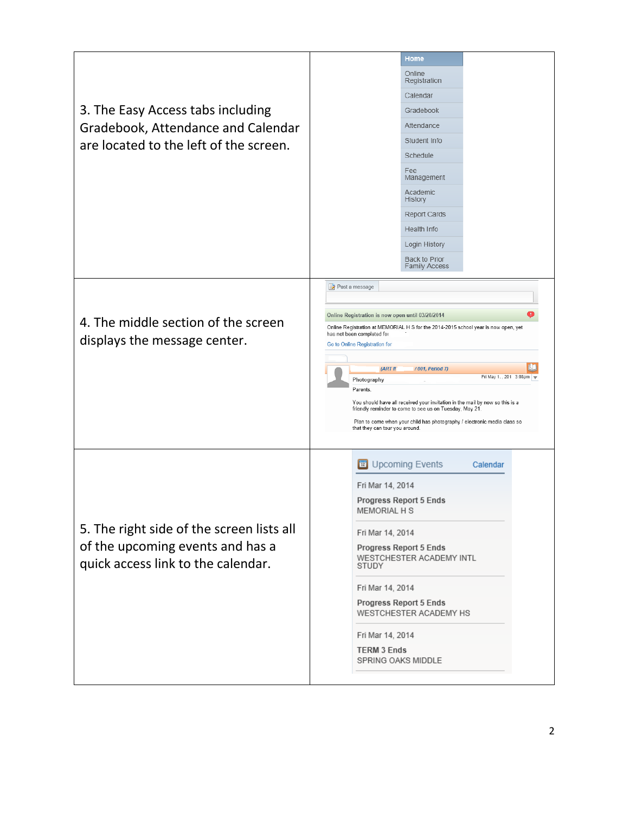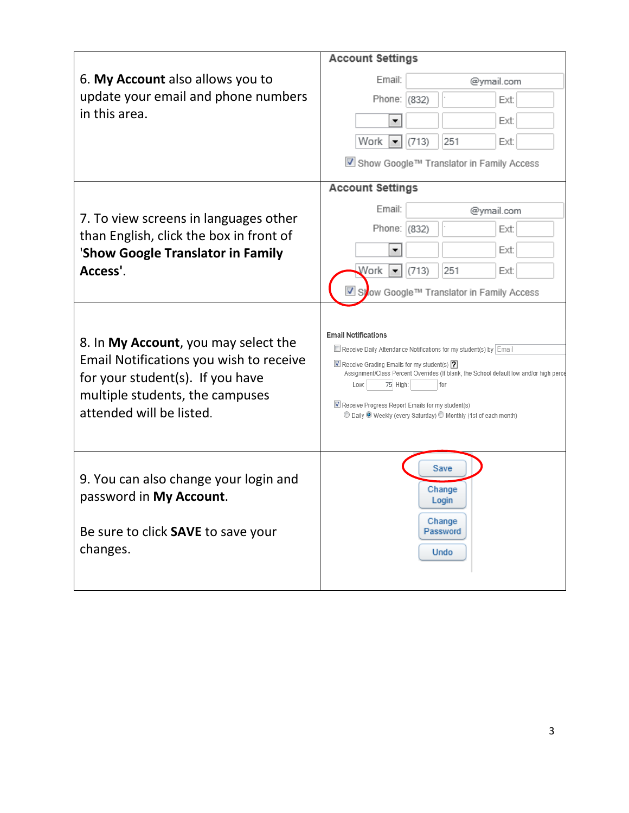|                                                                                                                                                                                    | <b>Account Settings</b>                                                                                                                                                                                                                                                                                                                                                                              |  |  |  |  |
|------------------------------------------------------------------------------------------------------------------------------------------------------------------------------------|------------------------------------------------------------------------------------------------------------------------------------------------------------------------------------------------------------------------------------------------------------------------------------------------------------------------------------------------------------------------------------------------------|--|--|--|--|
| 6. My Account also allows you to                                                                                                                                                   | Email:<br>@ymail.com                                                                                                                                                                                                                                                                                                                                                                                 |  |  |  |  |
| update your email and phone numbers                                                                                                                                                | Phone: (832)<br>Ext:                                                                                                                                                                                                                                                                                                                                                                                 |  |  |  |  |
| in this area.                                                                                                                                                                      | Ext:<br>▼                                                                                                                                                                                                                                                                                                                                                                                            |  |  |  |  |
|                                                                                                                                                                                    | Work<br>(713)<br>251<br>Ext:<br>▼                                                                                                                                                                                                                                                                                                                                                                    |  |  |  |  |
|                                                                                                                                                                                    | ■ Show Google™ Translator in Family Access                                                                                                                                                                                                                                                                                                                                                           |  |  |  |  |
|                                                                                                                                                                                    | <b>Account Settings</b>                                                                                                                                                                                                                                                                                                                                                                              |  |  |  |  |
| 7. To view screens in languages other                                                                                                                                              | Email:<br>@ymail.com                                                                                                                                                                                                                                                                                                                                                                                 |  |  |  |  |
| than English, click the box in front of                                                                                                                                            | Phone:<br>(832)<br>Ext:                                                                                                                                                                                                                                                                                                                                                                              |  |  |  |  |
| 'Show Google Translator in Family                                                                                                                                                  | Ext:<br>▼                                                                                                                                                                                                                                                                                                                                                                                            |  |  |  |  |
| Access'.                                                                                                                                                                           | Work<br>(713)<br>251<br>Ext:                                                                                                                                                                                                                                                                                                                                                                         |  |  |  |  |
|                                                                                                                                                                                    | Syow Google™ Translator in Family Access                                                                                                                                                                                                                                                                                                                                                             |  |  |  |  |
| 8. In My Account, you may select the<br>Email Notifications you wish to receive<br>for your student(s). If you have<br>multiple students, the campuses<br>attended will be listed. | <b>Email Notifications</b><br>Receive Daily Attendance Notifications for my student(s) by Email<br>Receive Grading Emails for my student(s) ?<br>Assignment/Class Percent Overrides (If blank, the School default low and/or high perce<br>75 High:<br>Low:<br>for<br>Receive Progress Report Emails for my student(s)<br>© Daily <sup>®</sup> Weekly (every Saturday) © Monthly (1st of each month) |  |  |  |  |
| 9. You can also change your login and<br>password in My Account.<br>Be sure to click SAVE to save your<br>changes.                                                                 | Save<br>Change<br>Login<br>Change<br>Password<br><b>Undo</b>                                                                                                                                                                                                                                                                                                                                         |  |  |  |  |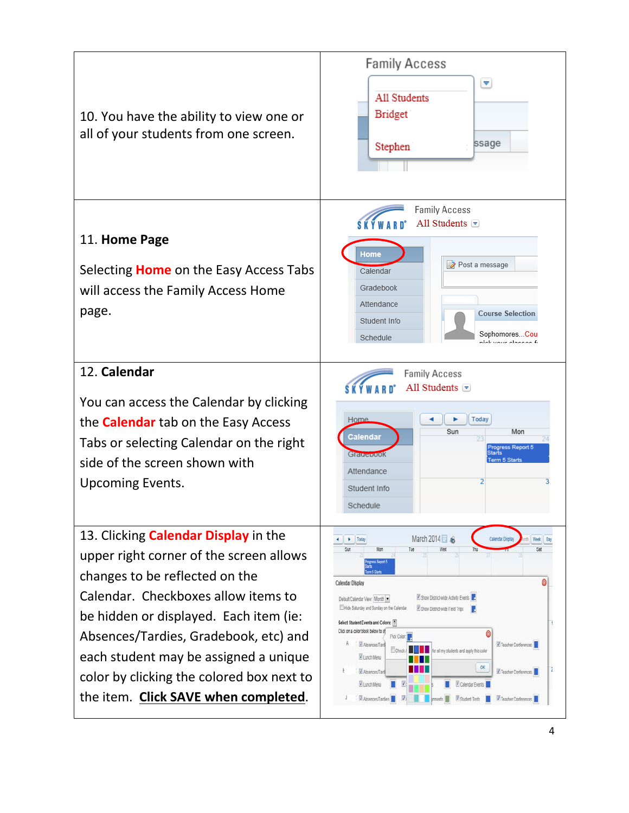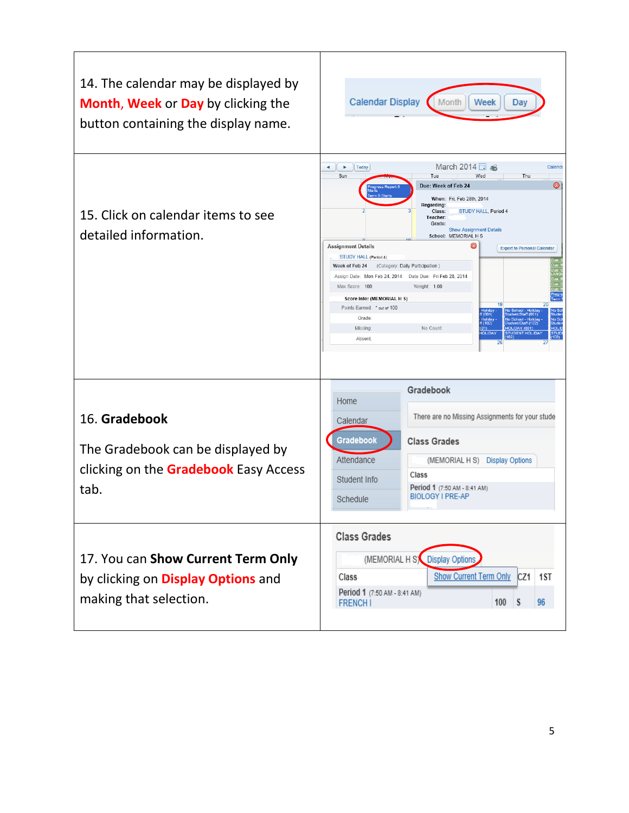| 14. The calendar may be displayed by<br>Month, Week or Day by clicking the<br>button containing the display name. | <b>Calendar Display</b><br>Month<br>Week<br>Day                                                                                                                                                                                                                                                                                                                                                                                                                                                                                                                                                                                                                                                                                                                                                                                                                  |
|-------------------------------------------------------------------------------------------------------------------|------------------------------------------------------------------------------------------------------------------------------------------------------------------------------------------------------------------------------------------------------------------------------------------------------------------------------------------------------------------------------------------------------------------------------------------------------------------------------------------------------------------------------------------------------------------------------------------------------------------------------------------------------------------------------------------------------------------------------------------------------------------------------------------------------------------------------------------------------------------|
| 15. Click on calendar items to see<br>detailed information.                                                       | March 2014<br>$\blacktriangleleft$<br><b>Today</b><br>Calenda<br>×<br>Sun<br>Tue<br>Wed<br>Thu<br>Ø1<br>Due: Week of Feb 24<br>m 5 St<br>When: Fri, Feb 28th, 2014<br>Regarding:<br>Class:<br>STUDY HALL, Period 4<br>Teacher:<br>Grade:<br><b>Show Assignment Details</b><br>School: MEMORIAL H S<br>Œ<br><b>Assignment Details</b><br><b>Export to Personal Calendar</b><br>STUDY HALL (Period 4)<br>Week of Feb 24 (Category: Daily Participation)<br>Assign Date: Mon Feb 24, 2014  Date Due: Fri Feb 28, 2014<br>Max Score: 100<br>Weight: 1.00<br>Score Info: (MEMORIAL H S)<br>20<br>Points Earned: * out of 100<br>No Scl<br>Studen<br>f(001)<br>Staff (001)<br>Grade:<br>No Sc<br>f (102)<br>aff (102)<br>Missing<br>No Count:<br><b>HOLID</b><br><b>IOLIDAY (001)</b><br>101)<br><b>IOLIDAY</b><br>STUDI<br>(102)<br><b>STUDENT HOLIDAY</b><br>Absent: |
| 16. Gradebook<br>The Gradebook can be displayed by<br>clicking on the <b>Gradebook</b> Easy Access<br>tab.        | Gradebook<br>Home<br>There are no Missing Assignments for your stude<br>Calendar<br>Gradebook<br><b>Class Grades</b><br>Attendance<br>(MEMORIAL H S)<br><b>Display Options</b><br>Class<br>Student Info<br>Period 1 (7:50 AM - 8:41 AM)<br><b>BIOLOGY I PRE-AP</b><br>Schedule                                                                                                                                                                                                                                                                                                                                                                                                                                                                                                                                                                                   |
| 17. You can Show Current Term Only<br>by clicking on Display Options and<br>making that selection.                | <b>Class Grades</b><br>(MEMORIAL H S) Display Options<br><b>Show Current Term Only</b><br>CZ1<br>1ST<br>Class<br>Period 1 (7:50 AM - 8:41 AM)<br>100<br>S<br>96<br><b>FRENCHI</b>                                                                                                                                                                                                                                                                                                                                                                                                                                                                                                                                                                                                                                                                                |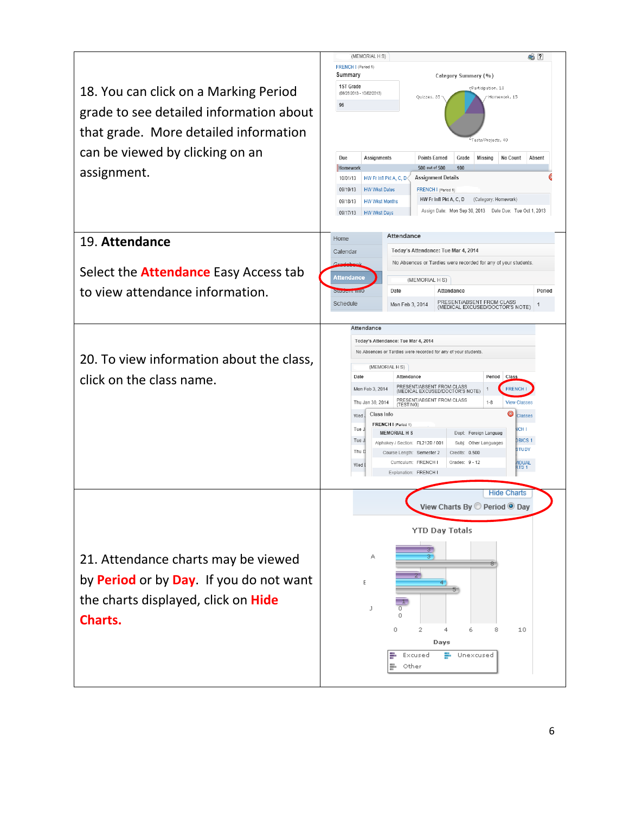